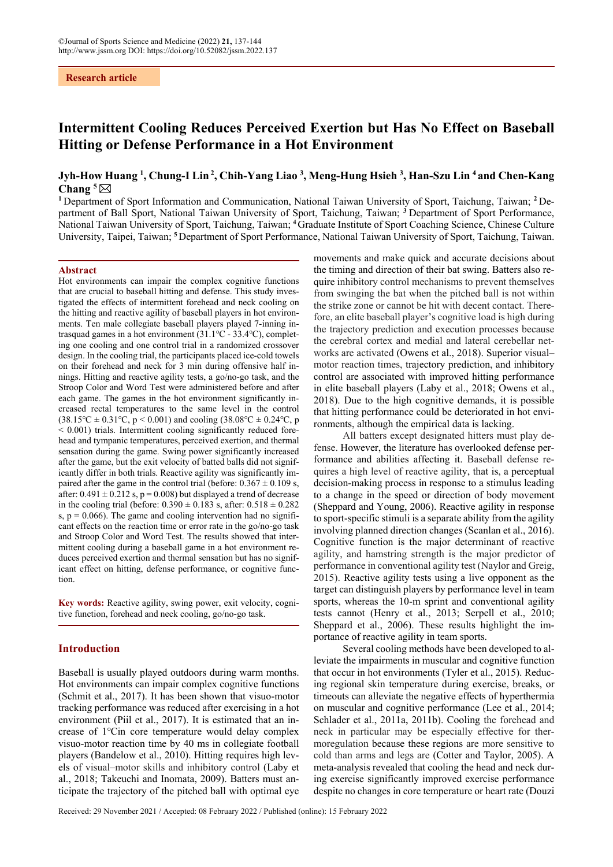#### **Research article**

# **Intermittent Cooling Reduces Perceived Exertion but Has No Effect on Baseball Hitting or Defense Performance in a Hot Environment**

## **Jyh-How Huang 1 , Chung-I Lin 2, Chih-Yang Liao 3 , Meng-Hung Hsieh 3 , Han-Szu Lin 4 and Chen-Kang Chang 5**

**<sup>1</sup>** Department of Sport Information and Communication, National Taiwan University of Sport, Taichung, Taiwan; **<sup>2</sup>** Department of Ball Sport, National Taiwan University of Sport, Taichung, Taiwan; **<sup>3</sup>** Department of Sport Performance, National Taiwan University of Sport, Taichung, Taiwan; **<sup>4</sup>**Graduate Institute of Sport Coaching Science, Chinese Culture University, Taipei, Taiwan; **<sup>5</sup>**Department of Sport Performance, National Taiwan University of Sport, Taichung, Taiwan.

#### **Abstract**

Hot environments can impair the complex cognitive functions that are crucial to baseball hitting and defense. This study investigated the effects of intermittent forehead and neck cooling on the hitting and reactive agility of baseball players in hot environments. Ten male collegiate baseball players played 7-inning intrasquad games in a hot environment (31.1℃ - 33.4℃), completing one cooling and one control trial in a randomized crossover design. In the cooling trial, the participants placed ice-cold towels on their forehead and neck for 3 min during offensive half innings. Hitting and reactive agility tests, a go/no-go task, and the Stroop Color and Word Test were administered before and after each game. The games in the hot environment significantly increased rectal temperatures to the same level in the control  $(38.15 \degree C \pm 0.31 \degree C, p \le 0.001)$  and cooling  $(38.08 \degree C \pm 0.24 \degree C, p \le 0.001)$ < 0.001) trials. Intermittent cooling significantly reduced forehead and tympanic temperatures, perceived exertion, and thermal sensation during the game. Swing power significantly increased after the game, but the exit velocity of batted balls did not significantly differ in both trials. Reactive agility was significantly impaired after the game in the control trial (before:  $0.367 \pm 0.109$  s, after:  $0.491 \pm 0.212$  s,  $p = 0.008$ ) but displayed a trend of decrease in the cooling trial (before:  $0.390 \pm 0.183$  s, after:  $0.518 \pm 0.282$ s,  $p = 0.066$ ). The game and cooling intervention had no significant effects on the reaction time or error rate in the go/no-go task and Stroop Color and Word Test. The results showed that intermittent cooling during a baseball game in a hot environment reduces perceived exertion and thermal sensation but has no significant effect on hitting, defense performance, or cognitive function.

**Key words:** Reactive agility, swing power, exit velocity, cognitive function, forehead and neck cooling, go/no-go task.

#### **Introduction**

Baseball is usually played outdoors during warm months. Hot environments can impair complex cognitive functions (Schmit et al., 2017). It has been shown that visuo-motor tracking performance was reduced after exercising in a hot environment (Piil et al., 2017). It is estimated that an increase of 1℃in core temperature would delay complex visuo-motor reaction time by 40 ms in collegiate football players (Bandelow et al., 2010). Hitting requires high levels of visual–motor skills and inhibitory control (Laby et al., 2018; Takeuchi and Inomata, 2009). Batters must anticipate the trajectory of the pitched ball with optimal eye

movements and make quick and accurate decisions about the timing and direction of their bat swing. Batters also require inhibitory control mechanisms to prevent themselves from swinging the bat when the pitched ball is not within the strike zone or cannot be hit with decent contact. Therefore, an elite baseball player's cognitive load is high during the trajectory prediction and execution processes because the cerebral cortex and medial and lateral cerebellar networks are activated (Owens et al., 2018). Superior visual– motor reaction times, trajectory prediction, and inhibitory control are associated with improved hitting performance in elite baseball players (Laby et al., 2018; Owens et al., 2018). Due to the high cognitive demands, it is possible that hitting performance could be deteriorated in hot environments, although the empirical data is lacking.

All batters except designated hitters must play defense. However, the literature has overlooked defense performance and abilities affecting it. Baseball defense requires a high level of reactive agility, that is, a perceptual decision-making process in response to a stimulus leading to a change in the speed or direction of body movement (Sheppard and Young, 2006). Reactive agility in response to sport-specific stimuli is a separate ability from the agility involving planned direction changes (Scanlan et al., 2016). Cognitive function is the major determinant of reactive agility, and hamstring strength is the major predictor of performance in conventional agility test (Naylor and Greig, 2015). Reactive agility tests using a live opponent as the target can distinguish players by performance level in team sports, whereas the 10-m sprint and conventional agility tests cannot (Henry et al., 2013; Serpell et al., 2010; Sheppard et al., 2006). These results highlight the importance of reactive agility in team sports.

Several cooling methods have been developed to alleviate the impairments in muscular and cognitive function that occur in hot environments (Tyler et al., 2015). Reducing regional skin temperature during exercise, breaks, or timeouts can alleviate the negative effects of hyperthermia on muscular and cognitive performance (Lee et al., 2014; Schlader et al., 2011a, 2011b). Cooling the forehead and neck in particular may be especially effective for thermoregulation because these regions are more sensitive to cold than arms and legs are (Cotter and Taylor, 2005). A meta-analysis revealed that cooling the head and neck during exercise significantly improved exercise performance despite no changes in core temperature or heart rate (Douzi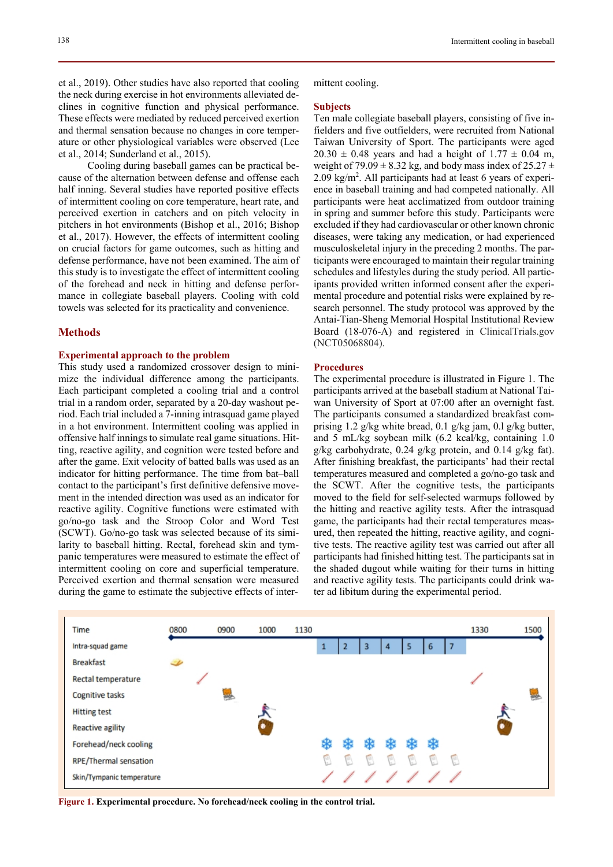et al., 2019). Other studies have also reported that cooling the neck during exercise in hot environments alleviated declines in cognitive function and physical performance. These effects were mediated by reduced perceived exertion and thermal sensation because no changes in core temperature or other physiological variables were observed (Lee et al., 2014; Sunderland et al., 2015).

Cooling during baseball games can be practical because of the alternation between defense and offense each half inning. Several studies have reported positive effects of intermittent cooling on core temperature, heart rate, and perceived exertion in catchers and on pitch velocity in pitchers in hot environments (Bishop et al., 2016; Bishop et al., 2017). However, the effects of intermittent cooling on crucial factors for game outcomes, such as hitting and defense performance, have not been examined. The aim of this study is to investigate the effect of intermittent cooling of the forehead and neck in hitting and defense performance in collegiate baseball players. Cooling with cold towels was selected for its practicality and convenience.

#### **Methods**

#### **Experimental approach to the problem**

This study used a randomized crossover design to minimize the individual difference among the participants. Each participant completed a cooling trial and a control trial in a random order, separated by a 20-day washout period. Each trial included a 7-inning intrasquad game played in a hot environment. Intermittent cooling was applied in offensive half innings to simulate real game situations. Hitting, reactive agility, and cognition were tested before and after the game. Exit velocity of batted balls was used as an indicator for hitting performance. The time from bat–ball contact to the participant's first definitive defensive movement in the intended direction was used as an indicator for reactive agility. Cognitive functions were estimated with go/no-go task and the Stroop Color and Word Test (SCWT). Go/no-go task was selected because of its similarity to baseball hitting. Rectal, forehead skin and tympanic temperatures were measured to estimate the effect of intermittent cooling on core and superficial temperature. Perceived exertion and thermal sensation were measured during the game to estimate the subjective effects of intermittent cooling.

#### **Subjects**

Ten male collegiate baseball players, consisting of five infielders and five outfielders, were recruited from National Taiwan University of Sport. The participants were aged  $20.30 \pm 0.48$  years and had a height of  $1.77 \pm 0.04$  m, weight of 79.09  $\pm$  8.32 kg, and body mass index of 25.27  $\pm$ 2.09 kg/m2 . All participants had at least 6 years of experience in baseball training and had competed nationally. All participants were heat acclimatized from outdoor training in spring and summer before this study. Participants were excluded if they had cardiovascular or other known chronic diseases, were taking any medication, or had experienced musculoskeletal injury in the preceding 2 months. The participants were encouraged to maintain their regular training schedules and lifestyles during the study period. All participants provided written informed consent after the experimental procedure and potential risks were explained by research personnel. The study protocol was approved by the Antai-Tian-Sheng Memorial Hospital Institutional Review Board (18-076-A) and registered in ClinicalTrials.gov (NCT05068804).

#### **Procedures**

The experimental procedure is illustrated in Figure 1. The participants arrived at the baseball stadium at National Taiwan University of Sport at 07:00 after an overnight fast. The participants consumed a standardized breakfast comprising 1.2 g/kg white bread, 0.1 g/kg jam, 0.l g/kg butter, and 5 mL/kg soybean milk (6.2 kcal/kg, containing 1.0 g/kg carbohydrate, 0.24 g/kg protein, and 0.14 g/kg fat). After finishing breakfast, the participants' had their rectal temperatures measured and completed a go/no-go task and the SCWT. After the cognitive tests, the participants moved to the field for self-selected warmups followed by the hitting and reactive agility tests. After the intrasquad game, the participants had their rectal temperatures measured, then repeated the hitting, reactive agility, and cognitive tests. The reactive agility test was carried out after all participants had finished hitting test. The participants sat in the shaded dugout while waiting for their turns in hitting and reactive agility tests. The participants could drink water ad libitum during the experimental period.



**Figure 1. Experimental procedure. No forehead/neck cooling in the control trial.**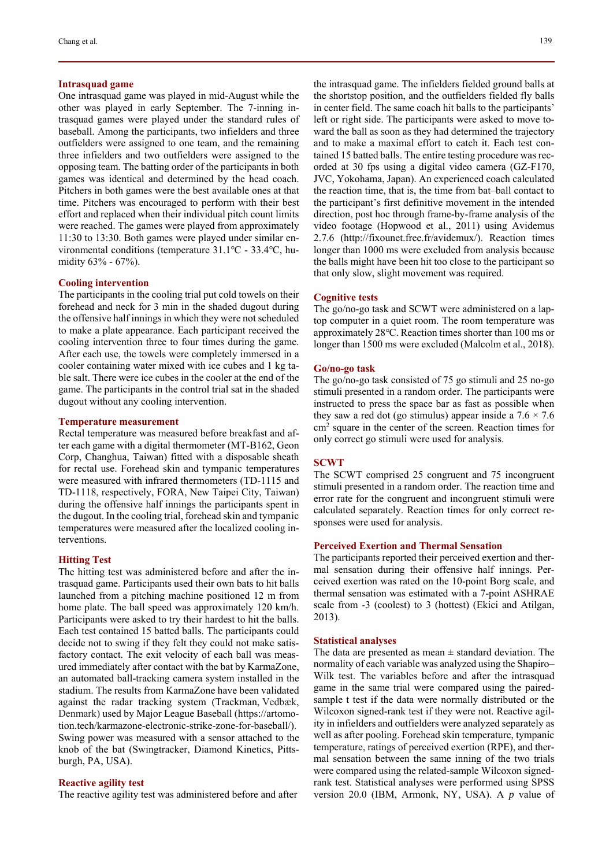#### **Intrasquad game**

One intrasquad game was played in mid-August while the other was played in early September. The 7-inning intrasquad games were played under the standard rules of baseball. Among the participants, two infielders and three outfielders were assigned to one team, and the remaining three infielders and two outfielders were assigned to the opposing team. The batting order of the participants in both games was identical and determined by the head coach. Pitchers in both games were the best available ones at that time. Pitchers was encouraged to perform with their best effort and replaced when their individual pitch count limits were reached. The games were played from approximately 11:30 to 13:30. Both games were played under similar environmental conditions (temperature 31.1℃ - 33.4℃, humidity 63% - 67%).

#### **Cooling intervention**

The participants in the cooling trial put cold towels on their forehead and neck for 3 min in the shaded dugout during the offensive half innings in which they were not scheduled to make a plate appearance. Each participant received the cooling intervention three to four times during the game. After each use, the towels were completely immersed in a cooler containing water mixed with ice cubes and 1 kg table salt. There were ice cubes in the cooler at the end of the game. The participants in the control trial sat in the shaded dugout without any cooling intervention.

#### **Temperature measurement**

Rectal temperature was measured before breakfast and after each game with a digital thermometer (MT-B162, Geon Corp, Changhua, Taiwan) fitted with a disposable sheath for rectal use. Forehead skin and tympanic temperatures were measured with infrared thermometers (TD-1115 and TD-1118, respectively, FORA, New Taipei City, Taiwan) during the offensive half innings the participants spent in the dugout. In the cooling trial, forehead skin and tympanic temperatures were measured after the localized cooling interventions.

#### **Hitting Test**

The hitting test was administered before and after the intrasquad game. Participants used their own bats to hit balls launched from a pitching machine positioned 12 m from home plate. The ball speed was approximately 120 km/h. Participants were asked to try their hardest to hit the balls. Each test contained 15 batted balls. The participants could decide not to swing if they felt they could not make satisfactory contact. The exit velocity of each ball was measured immediately after contact with the bat by KarmaZone, an automated ball-tracking camera system installed in the stadium. The results from KarmaZone have been validated against the radar tracking system (Trackman, Vedbæk, Denmark) used by Major League Baseball (https://artomotion.tech/karmazone-electronic-strike-zone-for-baseball/). Swing power was measured with a sensor attached to the knob of the bat (Swingtracker, Diamond Kinetics, Pittsburgh, PA, USA).

#### **Reactive agility test**

The reactive agility test was administered before and after

the intrasquad game. The infielders fielded ground balls at the shortstop position, and the outfielders fielded fly balls in center field. The same coach hit balls to the participants' left or right side. The participants were asked to move toward the ball as soon as they had determined the trajectory and to make a maximal effort to catch it. Each test contained 15 batted balls. The entire testing procedure was recorded at 30 fps using a digital video camera (GZ-F170, JVC, Yokohama, Japan). An experienced coach calculated the reaction time, that is, the time from bat–ball contact to the participant's first definitive movement in the intended direction, post hoc through frame-by-frame analysis of the video footage (Hopwood et al., 2011) using Avidemus 2.7.6 (http://fixounet.free.fr/avidemux/). Reaction times longer than 1000 ms were excluded from analysis because the balls might have been hit too close to the participant so that only slow, slight movement was required.

#### **Cognitive tests**

The go/no-go task and SCWT were administered on a laptop computer in a quiet room. The room temperature was approximately 28℃. Reaction times shorter than 100 ms or longer than 1500 ms were excluded (Malcolm et al., 2018).

#### **Go/no-go task**

The go/no-go task consisted of 75 go stimuli and 25 no-go stimuli presented in a random order. The participants were instructed to press the space bar as fast as possible when they saw a red dot (go stimulus) appear inside a  $7.6 \times 7.6$ cm2 square in the center of the screen. Reaction times for only correct go stimuli were used for analysis.

#### **SCWT**

The SCWT comprised 25 congruent and 75 incongruent stimuli presented in a random order. The reaction time and error rate for the congruent and incongruent stimuli were calculated separately. Reaction times for only correct responses were used for analysis.

#### **Perceived Exertion and Thermal Sensation**

The participants reported their perceived exertion and thermal sensation during their offensive half innings. Perceived exertion was rated on the 10-point Borg scale, and thermal sensation was estimated with a 7-point ASHRAE scale from -3 (coolest) to 3 (hottest) (Ekici and Atilgan, 2013).

#### **Statistical analyses**

The data are presented as mean  $\pm$  standard deviation. The normality of each variable was analyzed using the Shapiro– Wilk test. The variables before and after the intrasquad game in the same trial were compared using the pairedsample t test if the data were normally distributed or the Wilcoxon signed-rank test if they were not. Reactive agility in infielders and outfielders were analyzed separately as well as after pooling. Forehead skin temperature, tympanic temperature, ratings of perceived exertion (RPE), and thermal sensation between the same inning of the two trials were compared using the related-sample Wilcoxon signedrank test. Statistical analyses were performed using SPSS version 20.0 (IBM, Armonk, NY, USA). A *p* value of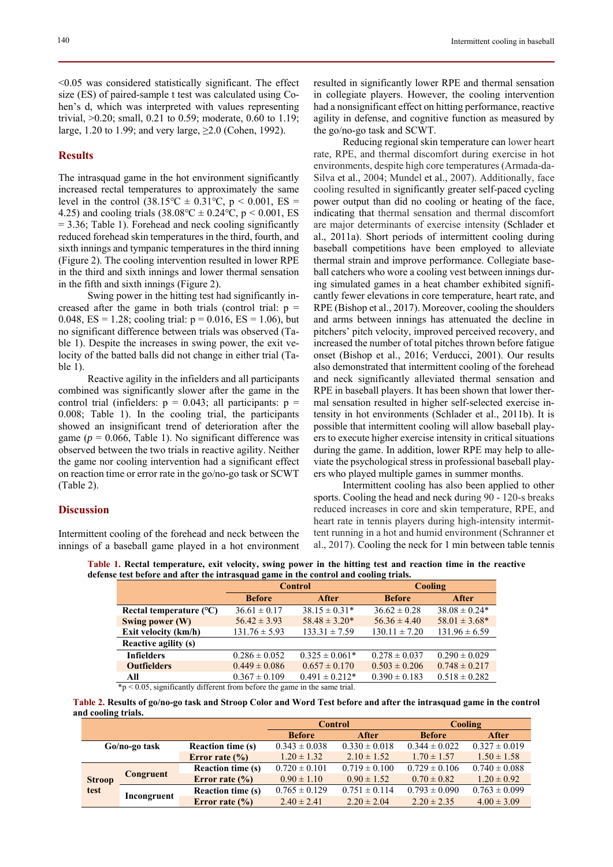<0.05 was considered statistically significant. The effect size (ES) of paired-sample t test was calculated using Cohen's d, which was interpreted with values representing trivial, >0.20; small, 0.21 to 0.59; moderate, 0.60 to 1.19; large, 1.20 to 1.99; and very large, ≥2.0 (Cohen, 1992).

#### **Results**

The intrasquad game in the hot environment significantly increased rectal temperatures to approximately the same level in the control (38.15°C  $\pm$  0.31°C, p < 0.001, ES = 4.25) and cooling trials  $(38.08^{\circ}\text{C} \pm 0.24^{\circ}\text{C}, \text{p} \le 0.001, \text{ES})$  $= 3.36$ ; Table 1). Forehead and neck cooling significantly reduced forehead skin temperatures in the third, fourth, and sixth innings and tympanic temperatures in the third inning (Figure 2). The cooling intervention resulted in lower RPE in the third and sixth innings and lower thermal sensation in the fifth and sixth innings (Figure 2).

Swing power in the hitting test had significantly increased after the game in both trials (control trial:  $p =$ 0.048, ES = 1.28; cooling trial:  $p = 0.016$ , ES = 1.06), but no significant difference between trials was observed (Table 1). Despite the increases in swing power, the exit velocity of the batted balls did not change in either trial (Table 1).

Reactive agility in the infielders and all participants combined was significantly slower after the game in the control trial (infielders:  $p = 0.043$ ; all participants:  $p =$ 0.008; Table 1). In the cooling trial, the participants showed an insignificant trend of deterioration after the game ( $p = 0.066$ , Table 1). No significant difference was observed between the two trials in reactive agility. Neither the game nor cooling intervention had a significant effect on reaction time or error rate in the go/no-go task or SCWT (Table 2).

#### **Discussion**

Intermittent cooling of the forehead and neck between the innings of a baseball game played in a hot environment resulted in significantly lower RPE and thermal sensation in collegiate players. However, the cooling intervention had a nonsignificant effect on hitting performance, reactive agility in defense, and cognitive function as measured by the go/no-go task and SCWT.

Reducing regional skin temperature can lower heart rate, RPE, and thermal discomfort during exercise in hot environments, despite high core temperatures (Armada-da-Silva et al., 2004; Mundel et al., 2007). Additionally, face cooling resulted in significantly greater self-paced cycling power output than did no cooling or heating of the face, indicating that thermal sensation and thermal discomfort are major determinants of exercise intensity (Schlader et al., 2011a). Short periods of intermittent cooling during baseball competitions have been employed to alleviate thermal strain and improve performance. Collegiate baseball catchers who wore a cooling vest between innings during simulated games in a heat chamber exhibited significantly fewer elevations in core temperature, heart rate, and RPE (Bishop et al., 2017). Moreover, cooling the shoulders and arms between innings has attenuated the decline in pitchers' pitch velocity, improved perceived recovery, and increased the number of total pitches thrown before fatigue onset (Bishop et al., 2016; Verducci, 2001). Our results also demonstrated that intermittent cooling of the forehead and neck significantly alleviated thermal sensation and RPE in baseball players. It has been shown that lower thermal sensation resulted in higher self-selected exercise intensity in hot environments (Schlader et al., 2011b). It is possible that intermittent cooling will allow baseball players to execute higher exercise intensity in critical situations during the game. In addition, lower RPE may help to alleviate the psychological stress in professional baseball players who played multiple games in summer months.

Intermittent cooling has also been applied to other sports. Cooling the head and neck during 90 - 120-s breaks reduced increases in core and skin temperature, RPE, and heart rate in tennis players during high-intensity intermittent running in a hot and humid environment (Schranner et al., 2017). Cooling the neck for 1 min between table tennis

**Table 1. Rectal temperature, exit velocity, swing power in the hitting test and reaction time in the reactive defense test before and after the intrasquad game in the control and cooling trials.** 

|                                                                                         |                   | <b>Control</b>     | <b>Cooling</b>    |                   |  |  |  |  |
|-----------------------------------------------------------------------------------------|-------------------|--------------------|-------------------|-------------------|--|--|--|--|
|                                                                                         | <b>Before</b>     | After              | <b>Before</b>     | After             |  |  |  |  |
| Rectal temperature $(^{\circ}C)$                                                        | $36.61 \pm 0.17$  | $38.15 \pm 0.31*$  | $36.62 \pm 0.28$  | $38.08 \pm 0.24*$ |  |  |  |  |
| Swing power (W)                                                                         | $56.42 \pm 3.93$  | $58.48 \pm 3.20*$  | $56.36 \pm 4.40$  | $58.01 \pm 3.68*$ |  |  |  |  |
| Exit velocity (km/h)                                                                    | $131.76 \pm 5.93$ | $133.31 \pm 7.59$  | $130.11 \pm 7.20$ | $131.96 \pm 6.59$ |  |  |  |  |
| <b>Reactive agility (s)</b>                                                             |                   |                    |                   |                   |  |  |  |  |
| <b>Infielders</b>                                                                       | $0.286 \pm 0.052$ | $0.325 \pm 0.061*$ | $0.278 \pm 0.037$ | $0.290 \pm 0.029$ |  |  |  |  |
| <b>Outfielders</b>                                                                      | $0.449 \pm 0.086$ | $0.657 \pm 0.170$  | $0.503 \pm 0.206$ | $0.748 \pm 0.217$ |  |  |  |  |
| All                                                                                     | $0.367 \pm 0.109$ | $0.491 \pm 0.212*$ | $0.390 \pm 0.183$ | $0.518 \pm 0.282$ |  |  |  |  |
| $*_{\Omega}$ $\leq$ 0.05 significantly different from before the came in the same trial |                   |                    |                   |                   |  |  |  |  |

 $p < 0.05$ , significantly different from before the game in the same trial.

**Table 2. Results of go/no-go task and Stroop Color and Word Test before and after the intrasquad game in the control and cooling trials.** 

|                       |             |                          | <b>Control</b>    |                   | <b>Cooling</b>    |                   |
|-----------------------|-------------|--------------------------|-------------------|-------------------|-------------------|-------------------|
|                       |             |                          | <b>Before</b>     | After             | <b>Before</b>     | <b>After</b>      |
| $Go/no-go task$       |             | <b>Reaction time (s)</b> | $0.343 \pm 0.038$ | $0.330 \pm 0.018$ | $0.344 \pm 0.022$ | $0.327 \pm 0.019$ |
|                       |             | Error rate $(\% )$       | $1.20 \pm 1.32$   | $2.10 \pm 1.52$   | $1.70 \pm 1.57$   | $1.50 \pm 1.58$   |
| <b>Stroop</b><br>test |             | <b>Reaction time (s)</b> | $0.720 \pm 0.101$ | $0.719 \pm 0.100$ | $0.729 \pm 0.106$ | $0.740 \pm 0.088$ |
|                       | Congruent   | Error rate $(\% )$       | $0.90 \pm 1.10$   | $0.90 \pm 1.52$   | $0.70 \pm 0.82$   | $1.20 \pm 0.92$   |
|                       | Incongruent | <b>Reaction time (s)</b> | $0.765 \pm 0.129$ | $0.751 \pm 0.114$ | $0.793 \pm 0.090$ | $0.763 \pm 0.099$ |
|                       |             | Error rate $(\% )$       | $2.40 \pm 2.41$   | $2.20 \pm 2.04$   | $2.20 \pm 2.35$   | $4.00 \pm 3.09$   |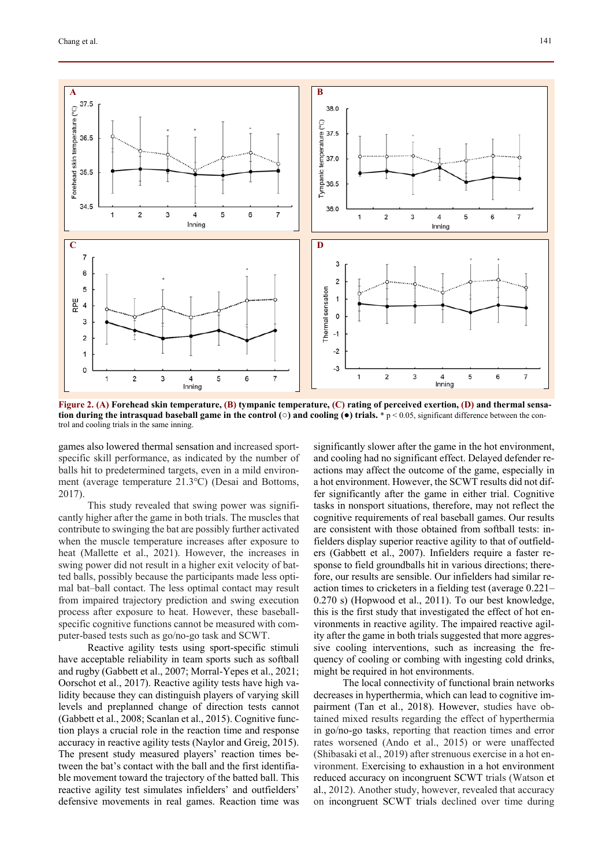

**Figure 2. (A) Forehead skin temperature, (B) tympanic temperature, (C) rating of perceived exertion, (D) and thermal sensation during the intrasquad baseball game in the control (○) and cooling (●) trials. <sup>\*</sup> p < 0.05, significant difference between the con**trol and cooling trials in the same inning.

games also lowered thermal sensation and increased sportspecific skill performance, as indicated by the number of balls hit to predetermined targets, even in a mild environment (average temperature 21.3℃) (Desai and Bottoms, 2017).

This study revealed that swing power was significantly higher after the game in both trials. The muscles that contribute to swinging the bat are possibly further activated when the muscle temperature increases after exposure to heat (Mallette et al., 2021). However, the increases in swing power did not result in a higher exit velocity of batted balls, possibly because the participants made less optimal bat–ball contact. The less optimal contact may result from impaired trajectory prediction and swing execution process after exposure to heat. However, these baseballspecific cognitive functions cannot be measured with computer-based tests such as go/no-go task and SCWT.

Reactive agility tests using sport-specific stimuli have acceptable reliability in team sports such as softball and rugby (Gabbett et al., 2007; Morral-Yepes et al., 2021; Oorschot et al., 2017). Reactive agility tests have high validity because they can distinguish players of varying skill levels and preplanned change of direction tests cannot (Gabbett et al., 2008; Scanlan et al., 2015). Cognitive function plays a crucial role in the reaction time and response accuracy in reactive agility tests (Naylor and Greig, 2015). The present study measured players' reaction times between the bat's contact with the ball and the first identifiable movement toward the trajectory of the batted ball. This reactive agility test simulates infielders' and outfielders' defensive movements in real games. Reaction time was significantly slower after the game in the hot environment, and cooling had no significant effect. Delayed defender reactions may affect the outcome of the game, especially in a hot environment. However, the SCWT results did not differ significantly after the game in either trial. Cognitive tasks in nonsport situations, therefore, may not reflect the cognitive requirements of real baseball games. Our results are consistent with those obtained from softball tests: infielders display superior reactive agility to that of outfielders (Gabbett et al., 2007). Infielders require a faster response to field groundballs hit in various directions; therefore, our results are sensible. Our infielders had similar reaction times to cricketers in a fielding test (average 0.221– 0.270 s) (Hopwood et al., 2011). To our best knowledge, this is the first study that investigated the effect of hot environments in reactive agility. The impaired reactive agility after the game in both trials suggested that more aggressive cooling interventions, such as increasing the frequency of cooling or combing with ingesting cold drinks, might be required in hot environments.

The local connectivity of functional brain networks decreases in hyperthermia, which can lead to cognitive impairment (Tan et al., 2018). However, studies have obtained mixed results regarding the effect of hyperthermia in go/no-go tasks, reporting that reaction times and error rates worsened (Ando et al., 2015) or were unaffected (Shibasaki et al., 2019) after strenuous exercise in a hot environment. Exercising to exhaustion in a hot environment reduced accuracy on incongruent SCWT trials (Watson et al., 2012). Another study, however, revealed that accuracy on incongruent SCWT trials declined over time during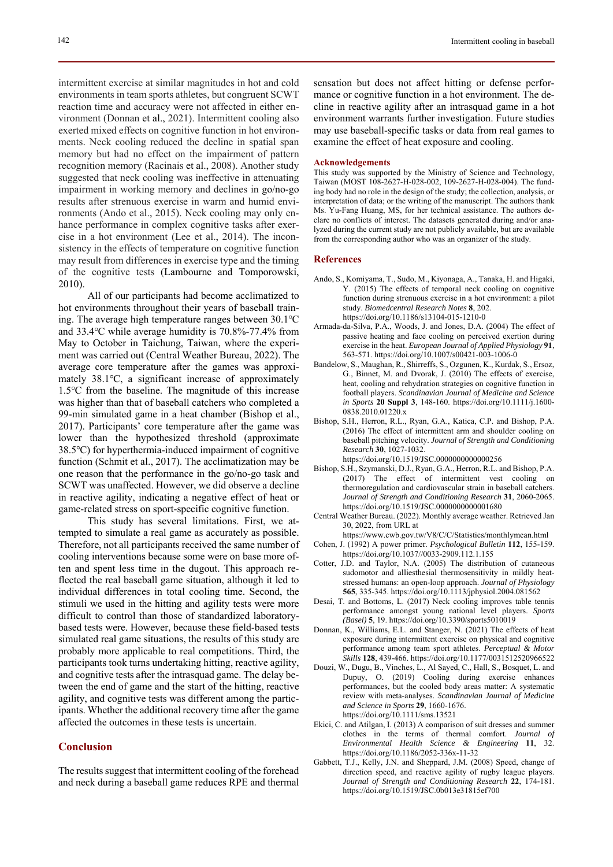intermittent exercise at similar magnitudes in hot and cold environments in team sports athletes, but congruent SCWT reaction time and accuracy were not affected in either environment (Donnan et al., 2021). Intermittent cooling also exerted mixed effects on cognitive function in hot environments. Neck cooling reduced the decline in spatial span memory but had no effect on the impairment of pattern recognition memory (Racinais et al., 2008). Another study suggested that neck cooling was ineffective in attenuating impairment in working memory and declines in go/no-go results after strenuous exercise in warm and humid environments (Ando et al., 2015). Neck cooling may only enhance performance in complex cognitive tasks after exercise in a hot environment (Lee et al., 2014). The inconsistency in the effects of temperature on cognitive function may result from differences in exercise type and the timing of the cognitive tests (Lambourne and Tomporowski, 2010).

All of our participants had become acclimatized to hot environments throughout their years of baseball training. The average high temperature ranges between 30.1℃ and 33.4℃ while average humidity is 70.8%-77.4% from May to October in Taichung, Taiwan, where the experiment was carried out (Central Weather Bureau, 2022). The average core temperature after the games was approximately 38.1℃, a significant increase of approximately 1.5℃ from the baseline. The magnitude of this increase was higher than that of baseball catchers who completed a 99-min simulated game in a heat chamber (Bishop et al., 2017). Participants' core temperature after the game was lower than the hypothesized threshold (approximate 38.5℃) for hyperthermia-induced impairment of cognitive function (Schmit et al., 2017). The acclimatization may be one reason that the performance in the go/no-go task and SCWT was unaffected. However, we did observe a decline in reactive agility, indicating a negative effect of heat or game-related stress on sport-specific cognitive function.

This study has several limitations. First, we attempted to simulate a real game as accurately as possible. Therefore, not all participants received the same number of cooling interventions because some were on base more often and spent less time in the dugout. This approach reflected the real baseball game situation, although it led to individual differences in total cooling time. Second, the stimuli we used in the hitting and agility tests were more difficult to control than those of standardized laboratorybased tests were. However, because these field-based tests simulated real game situations, the results of this study are probably more applicable to real competitions. Third, the participants took turns undertaking hitting, reactive agility, and cognitive tests after the intrasquad game. The delay between the end of game and the start of the hitting, reactive agility, and cognitive tests was different among the participants. Whether the additional recovery time after the game affected the outcomes in these tests is uncertain.

### **Conclusion**

The results suggest that intermittent cooling of the forehead and neck during a baseball game reduces RPE and thermal

sensation but does not affect hitting or defense performance or cognitive function in a hot environment. The decline in reactive agility after an intrasquad game in a hot environment warrants further investigation. Future studies may use baseball-specific tasks or data from real games to examine the effect of heat exposure and cooling.

#### **Acknowledgements**

This study was supported by the Ministry of Science and Technology, Taiwan (MOST 108-2627-H-028-002, 109-2627-H-028-004). The funding body had no role in the design of the study; the collection, analysis, or interpretation of data; or the writing of the manuscript. The authors thank Ms. Yu-Fang Huang, MS, for her technical assistance. The authors declare no conflicts of interest. The datasets generated during and/or analyzed during the current study are not publicly available, but are available from the corresponding author who was an organizer of the study.

#### **References**

- Ando, S., Komiyama, T., Sudo, M., Kiyonaga, A., Tanaka, H. and Higaki, Y. (2015) The effects of temporal neck cooling on cognitive function during strenuous exercise in a hot environment: a pilot study. *Biomedcentral Research Notes* **8**, 202. https://doi.org/10.1186/s13104-015-1210-0
- Armada-da-Silva, P.A., Woods, J. and Jones, D.A. (2004) The effect of passive heating and face cooling on perceived exertion during exercise in the heat. *European Journal of Applied Physiology* **91**, 563-571. https://doi.org/10.1007/s00421-003-1006-0
- Bandelow, S., Maughan, R., Shirreffs, S., Ozgunen, K., Kurdak, S., Ersoz, G., Binnet, M. and Dvorak, J. (2010) The effects of exercise, heat, cooling and rehydration strategies on cognitive function in football players. *Scandinavian Journal of Medicine and Science in Sports* **20 Suppl 3**, 148-160. https://doi.org/10.1111/j.1600- 0838.2010.01220.x
- Bishop, S.H., Herron, R.L., Ryan, G.A., Katica, C.P. and Bishop, P.A. (2016) The effect of intermittent arm and shoulder cooling on baseball pitching velocity. *Journal of Strength and Conditioning Research* **30**, 1027-1032. https://doi.org/10.1519/JSC.0000000000000256
- Bishop, S.H., Szymanski, D.J., Ryan, G.A., Herron, R.L. and Bishop, P.A. (2017) The effect of intermittent vest cooling on thermoregulation and cardiovascular strain in baseball catchers. *Journal of Strength and Conditioning Research* **31**, 2060-2065. https://doi.org/10.1519/JSC.0000000000001680
- Central Weather Bureau. (2022). Monthly average weather. Retrieved Jan 30, 2022, from URL at
	- https://www.cwb.gov.tw/V8/C/C/Statistics/monthlymean.html
- Cohen, J. (1992) A power primer. *Psychological Bulletin* **112**, 155-159. https://doi.org/10.1037//0033-2909.112.1.155
- Cotter, J.D. and Taylor, N.A. (2005) The distribution of cutaneous sudomotor and alliesthesial thermosensitivity in mildly heatstressed humans: an open-loop approach. *Journal of Physiology*  **565**, 335-345. https://doi.org/10.1113/jphysiol.2004.081562
- Desai, T. and Bottoms, L. (2017) Neck cooling improves table tennis performance amongst young national level players. *Sports (Basel)* **5**, 19. https://doi.org/10.3390/sports5010019
- Donnan, K., Williams, E.L. and Stanger, N. (2021) The effects of heat exposure during intermittent exercise on physical and cognitive performance among team sport athletes. *Perceptual & Motor Skills* **128**, 439-466. https://doi.org/10.1177/0031512520966522
- Douzi, W., Dugu, B., Vinches, L., Al Sayed, C., Hall, S., Bosquet, L. and Dupuy, O. (2019) Cooling during exercise enhances performances, but the cooled body areas matter: A systematic review with meta-analyses. *Scandinavian Journal of Medicine and Science in Sports* **29**, 1660-1676. https://doi.org/10.1111/sms.13521
- Ekici, C. and Atilgan, I. (2013) A comparison of suit dresses and summer clothes in the terms of thermal comfort. *Journal of Environmental Health Science & Engineering* **11**, 32. https://doi.org/10.1186/2052-336x-11-32
- Gabbett, T.J., Kelly, J.N. and Sheppard, J.M. (2008) Speed, change of direction speed, and reactive agility of rugby league players. *Journal of Strength and Conditioning Research* **22**, 174-181. https://doi.org/10.1519/JSC.0b013e31815ef700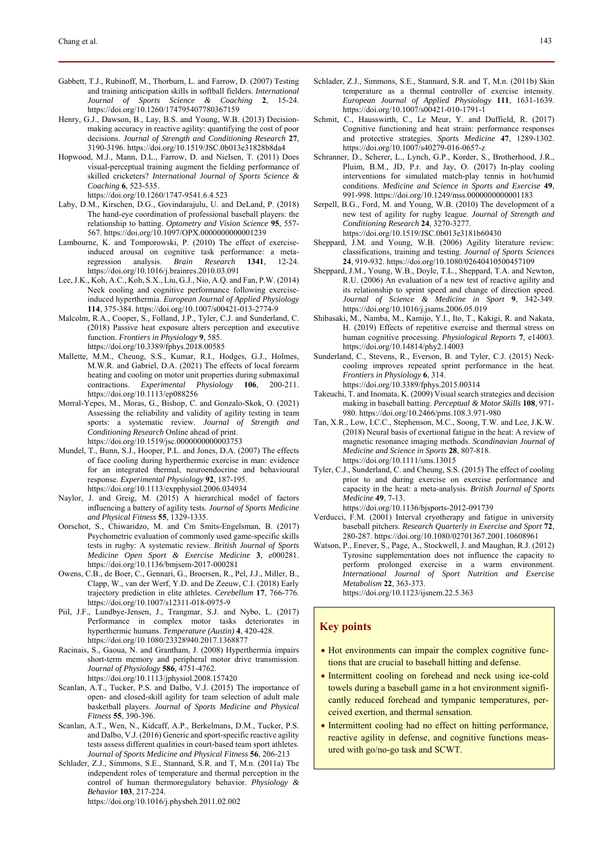- Gabbett, T.J., Rubinoff, M., Thorburn, L. and Farrow, D. (2007) Testing and training anticipation skills in softball fielders. *International Journal of Sports Science & Coaching* **2**, 15-24. https://doi.org/10.1260/174795407780367159
- Henry, G.J., Dawson, B., Lay, B.S. and Young, W.B. (2013) Decisionmaking accuracy in reactive agility: quantifying the cost of poor decisions. *Journal of Strength and Conditioning Research* **27**, 3190-3196. https://doi.org/10.1519/JSC.0b013e31828b8da4
- Hopwood, M.J., Mann, D.L., Farrow, D. and Nielsen, T. (2011) Does visual-perceptual training augment the fielding performance of skilled cricketers? *International Journal of Sports Science & Coaching* **6**, 523-535. https://doi.org/10.1260/1747-9541.6.4.523
- Laby, D.M., Kirschen, D.G., Govindarajulu, U. and DeLand, P. (2018) The hand-eye coordination of professional baseball players: the relationship to batting. *Optometry and Vision Science* **95**, 557-
- 567. https://doi.org/10.1097/OPX.0000000000001239 Lambourne, K. and Tomporowski, P. (2010) The effect of exerciseinduced arousal on cognitive task performance: a meta-
- regression analysis. *Brain Research* **1341**, 12-24. https://doi.org/10.1016/j.brainres.2010.03.091 Lee, J.K., Koh, A.C., Koh, S.X., Liu, G.J., Nio, A.Q. and Fan, P.W. (2014)
- Neck cooling and cognitive performance following exerciseinduced hyperthermia. *European Journal of Applied Physiology*  **114**, 375-384. https://doi.org/10.1007/s00421-013-2774-9
- Malcolm, R.A., Cooper, S., Folland, J.P., Tyler, C.J. and Sunderland, C. (2018) Passive heat exposure alters perception and executive function. *Frontiers in Physiology* **9**, 585. https://doi.org/10.3389/fphys.2018.00585
- Mallette, M.M., Cheung, S.S., Kumar, R.I., Hodges, G.J., Holmes, M.W.R. and Gabriel, D.A. (2021) The effects of local forearm heating and cooling on motor unit properties during submaximal contractions. *Experimental Physiology* **106**, 200-211. https://doi.org/10.1113/ep088256
- Morral-Yepes, M., Moras, G., Bishop, C. and Gonzalo-Skok, O. (2021) Assessing the reliability and validity of agility testing in team sports: a systematic review. *Journal of Strength and Conditioning Research* Online ahead of print. https://doi.org/10.1519/jsc.0000000000003753
- Mundel, T., Bunn, S.J., Hooper, P.L. and Jones, D.A. (2007) The effects of face cooling during hyperthermic exercise in man: evidence for an integrated thermal, neuroendocrine and behavioural response. *Experimental Physiology* **92**, 187-195. https://doi.org/10.1113/expphysiol.2006.034934
- Naylor, J. and Greig, M. (2015) A hierarchical model of factors influencing a battery of agility tests. *Journal of Sports Medicine and Physical Fitness* **55**, 1329-1335.
- Oorschot, S., Chiwaridzo, M. and Cm Smits-Engelsman, B. (2017) Psychometric evaluation of commonly used game-specific skills tests in rugby: A systematic review. *British Journal of Sports Medicine Open Sport & Exercise Medicine* **3**, e000281. https://doi.org/10.1136/bmjsem-2017-000281
- Owens, C.B., de Boer, C., Gennari, G., Broersen, R., Pel, J.J., Miller, B., Clapp, W., van der Werf, Y.D. and De Zeeuw, C.I. (2018) Early trajectory prediction in elite athletes. *Cerebellum* **17**, 766-776. https://doi.org/10.1007/s12311-018-0975-9
- Piil, J.F., Lundbye-Jensen, J., Trangmar, S.J. and Nybo, L. (2017) Performance in complex motor tasks deteriorates in hyperthermic humans. *Temperature (Austin)* **4**, 420-428. https://doi.org/10.1080/23328940.2017.1368877
- Racinais, S., Gaoua, N. and Grantham, J. (2008) Hyperthermia impairs short-term memory and peripheral motor drive transmission. *Journal of Physiology* **586**, 4751-4762. https://doi.org/10.1113/jphysiol.2008.157420
- Scanlan, A.T., Tucker, P.S. and Dalbo, V.J. (2015) The importance of open- and closed-skill agility for team selection of adult male basketball players. *Journal of Sports Medicine and Physical Fitness* **55**, 390-396.
- Scanlan, A.T., Wen, N., Kidcaff, A.P., Berkelmans, D.M., Tucker, P.S. and Dalbo, V.J. (2016) Generic and sport-specific reactive agility tests assess different qualities in court-based team sport athletes. *Journal of Sports Medicine and Physical Fitness* **56**, 206-213
- Schlader, Z.J., Simmons, S.E., Stannard, S.R. and T, M.n. (2011a) The independent roles of temperature and thermal perception in the control of human thermoregulatory behavior. *Physiology & Behavior* **103**, 217-224. https://doi.org/10.1016/j.physbeh.2011.02.002
- Schlader, Z.J., Simmons, S.E., Stannard, S.R. and T, M.n. (2011b) Skin temperature as a thermal controller of exercise intensity. *European Journal of Applied Physiology* **111**, 1631-1639. https://doi.org/10.1007/s00421-010-1791-1
- Schmit, C., Hausswirth, C., Le Meur, Y. and Duffield, R. (2017) Cognitive functioning and heat strain: performance responses and protective strategies. *Sports Medicine* **47**, 1289-1302. https://doi.org/10.1007/s40279-016-0657-z
- Schranner, D., Scherer, L., Lynch, G.P., Korder, S., Brotherhood, J.R., Pluim, B.M., JD, P.r. and Jay, O. (2017) In-play cooling interventions for simulated match-play tennis in hot/humid conditions. *Medicine and Science in Sports and Exercise* **49**, 991-998. https://doi.org/10.1249/mss.0000000000001183
- Serpell, B.G., Ford, M. and Young, W.B. (2010) The development of a new test of agility for rugby league. *Journal of Strength and Conditioning Research* **24**, 3270-3277.
	- https://doi.org/10.1519/JSC.0b013e3181b60430
- Sheppard, J.M. and Young, W.B. (2006) Agility literature review: classifications, training and testing. *Journal of Sports Sciences*  **24**, 919-932. https://doi.org/10.1080/02640410500457109
- Sheppard, J.M., Young, W.B., Doyle, T.L., Sheppard, T.A. and Newton, R.U. (2006) An evaluation of a new test of reactive agility and its relationship to sprint speed and change of direction speed. *Journal of Science & Medicine in Sport* **9**, 342-349. https://doi.org/10.1016/j.jsams.2006.05.019
- Shibasaki, M., Namba, M., Kamijo, Y.I., Ito, T., Kakigi, R. and Nakata, H. (2019) Effects of repetitive exercise and thermal stress on human cognitive processing. *Physiological Reports* **7**, e14003. https://doi.org/10.14814/phy2.14003
- Sunderland, C., Stevens, R., Everson, B. and Tyler, C.J. (2015) Neckcooling improves repeated sprint performance in the heat. *Frontiers in Physiology* **6**, 314. https://doi.org/10.3389/fphys.2015.00314
- Takeuchi, T. and Inomata, K. (2009) Visual search strategies and decision making in baseball batting. *Perceptual & Motor Skills* **108**, 971- 980. https://doi.org/10.2466/pms.108.3.971-980
- Tan, X.R., Low, I.C.C., Stephenson, M.C., Soong, T.W. and Lee, J.K.W. (2018) Neural basis of exertional fatigue in the heat: A review of magnetic resonance imaging methods. *Scandinavian Journal of Medicine and Science in Sports* **28**, 807-818. https://doi.org/10.1111/sms.13015
- Tyler, C.J., Sunderland, C. and Cheung, S.S. (2015) The effect of cooling prior to and during exercise on exercise performance and capacity in the heat: a meta-analysis. *British Journal of Sports Medicine* **49**, 7-13.
	- https://doi.org/10.1136/bjsports-2012-091739
- Verducci, F.M. (2001) Interval cryotherapy and fatigue in university baseball pitchers. *Research Quarterly in Exercise and Sport* **72**, 280-287. https://doi.org/10.1080/02701367.2001.10608961
- Watson, P., Enever, S., Page, A., Stockwell, J. and Maughan, R.J. (2012) Tyrosine supplementation does not influence the capacity to perform prolonged exercise in a warm environment. *International Journal of Sport Nutrition and Exercise Metabolism* **22**, 363-373. https://doi.org/10.1123/ijsnem.22.5.363

#### **Key points**

- Hot environments can impair the complex cognitive functions that are crucial to baseball hitting and defense.
- Intermittent cooling on forehead and neck using ice-cold towels during a baseball game in a hot environment significantly reduced forehead and tympanic temperatures, perceived exertion, and thermal sensation.
- Intermittent cooling had no effect on hitting performance, reactive agility in defense, and cognitive functions measured with go/no-go task and SCWT.